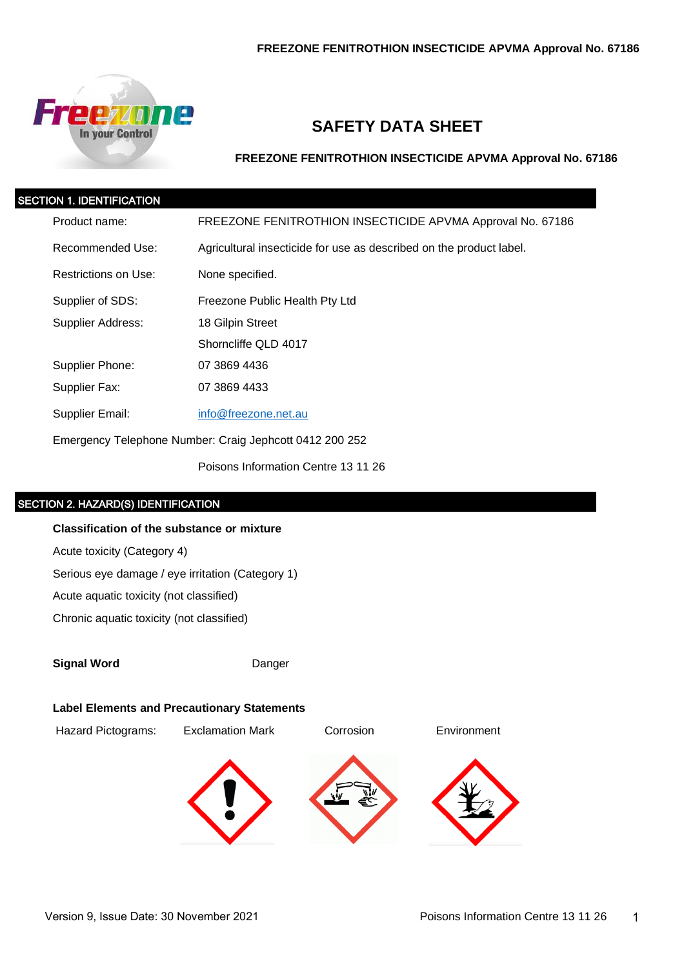

# **SAFETY DATA SHEET**

**FREEZONE FENITROTHION INSECTICIDE APVMA Approval No. 67186**

| <b>SECTION 1. IDENTIFICATION</b> |                      |                                                                     |  |
|----------------------------------|----------------------|---------------------------------------------------------------------|--|
|                                  | Product name:        | FREEZONE FENITROTHION INSECTICIDE APVMA Approval No. 67186          |  |
|                                  | Recommended Use:     | Agricultural insecticide for use as described on the product label. |  |
|                                  | Restrictions on Use: | None specified.                                                     |  |
|                                  | Supplier of SDS:     | Freezone Public Health Pty Ltd                                      |  |
|                                  | Supplier Address:    | 18 Gilpin Street                                                    |  |
|                                  |                      | Shorncliffe QLD 4017                                                |  |
|                                  | Supplier Phone:      | 07 3869 4436                                                        |  |
|                                  | Supplier Fax:        | 07 3869 4433                                                        |  |
|                                  | Supplier Email:      | info@freezone.net.au                                                |  |
|                                  |                      | Emergency Telephone Number: Craig Jephcott 0412 200 252             |  |

Poisons Information Centre 13 11 26

### SECTION 2. HAZARD(S) IDENTIFICATION

#### **Classification of the substance or mixture**

Acute toxicity (Category 4)

Serious eye damage / eye irritation (Category 1)

Acute aquatic toxicity (not classified)

Chronic aquatic toxicity (not classified)

**Signal Word** Danger

#### **Label Elements and Precautionary Statements**

Hazard Pictograms: Exclamation Mark Corrosion Environment



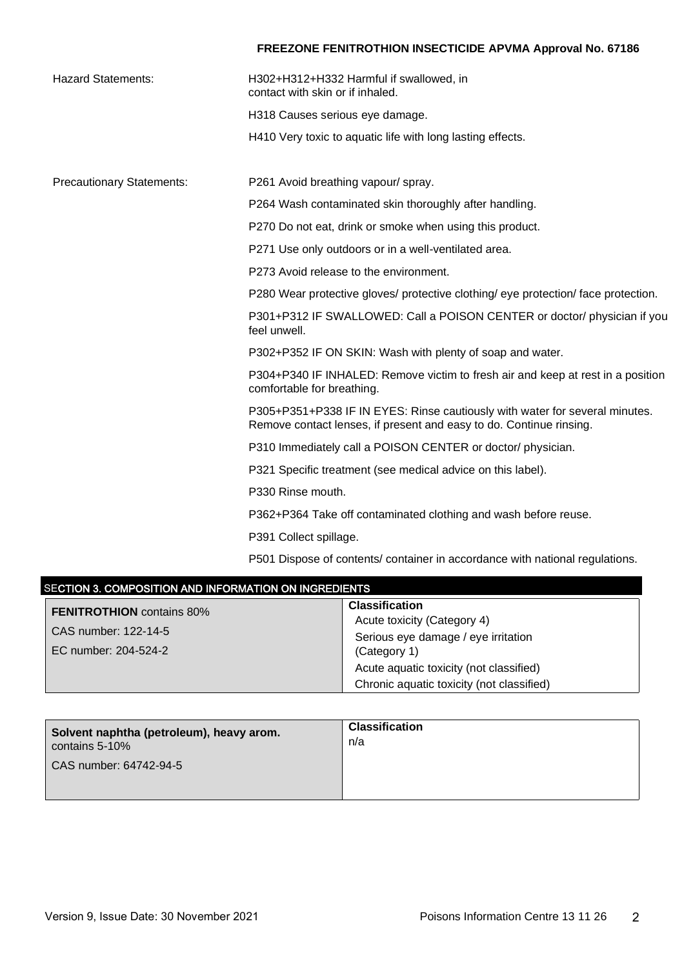| <b>Hazard Statements:</b>        | H302+H312+H332 Harmful if swallowed, in<br>contact with skin or if inhaled.                                                                        |
|----------------------------------|----------------------------------------------------------------------------------------------------------------------------------------------------|
|                                  | H318 Causes serious eye damage.                                                                                                                    |
|                                  | H410 Very toxic to aquatic life with long lasting effects.                                                                                         |
|                                  |                                                                                                                                                    |
| <b>Precautionary Statements:</b> | P261 Avoid breathing vapour/ spray.                                                                                                                |
|                                  | P264 Wash contaminated skin thoroughly after handling.                                                                                             |
|                                  | P270 Do not eat, drink or smoke when using this product.                                                                                           |
|                                  | P271 Use only outdoors or in a well-ventilated area.                                                                                               |
|                                  | P273 Avoid release to the environment.                                                                                                             |
|                                  | P280 Wear protective gloves/ protective clothing/ eye protection/ face protection.                                                                 |
|                                  | P301+P312 IF SWALLOWED: Call a POISON CENTER or doctor/ physician if you<br>feel unwell.                                                           |
|                                  | P302+P352 IF ON SKIN: Wash with plenty of soap and water.                                                                                          |
|                                  | P304+P340 IF INHALED: Remove victim to fresh air and keep at rest in a position<br>comfortable for breathing.                                      |
|                                  | P305+P351+P338 IF IN EYES: Rinse cautiously with water for several minutes.<br>Remove contact lenses, if present and easy to do. Continue rinsing. |
|                                  | P310 Immediately call a POISON CENTER or doctor/ physician.                                                                                        |
|                                  | P321 Specific treatment (see medical advice on this label).                                                                                        |
|                                  | P330 Rinse mouth.                                                                                                                                  |
|                                  | P362+P364 Take off contaminated clothing and wash before reuse.                                                                                    |
|                                  | P391 Collect spillage.                                                                                                                             |
|                                  | P501 Dispose of contents/ container in accordance with national regulations.                                                                       |

| SECTION 3. COMPOSITION AND INFORMATION ON INGREDIENTS |                                           |  |
|-------------------------------------------------------|-------------------------------------------|--|
| <b>FENITROTHION</b> contains 80%                      | <b>Classification</b>                     |  |
| CAS number: 122-14-5                                  | Acute toxicity (Category 4)               |  |
|                                                       | Serious eye damage / eye irritation       |  |
| EC number: 204-524-2                                  | (Category 1)                              |  |
|                                                       | Acute aquatic toxicity (not classified)   |  |
|                                                       | Chronic aquatic toxicity (not classified) |  |

| Solvent naphtha (petroleum), heavy arom. | <b>Classification</b> |
|------------------------------------------|-----------------------|
| contains 5-10%                           | n/a                   |
| CAS number: 64742-94-5                   |                       |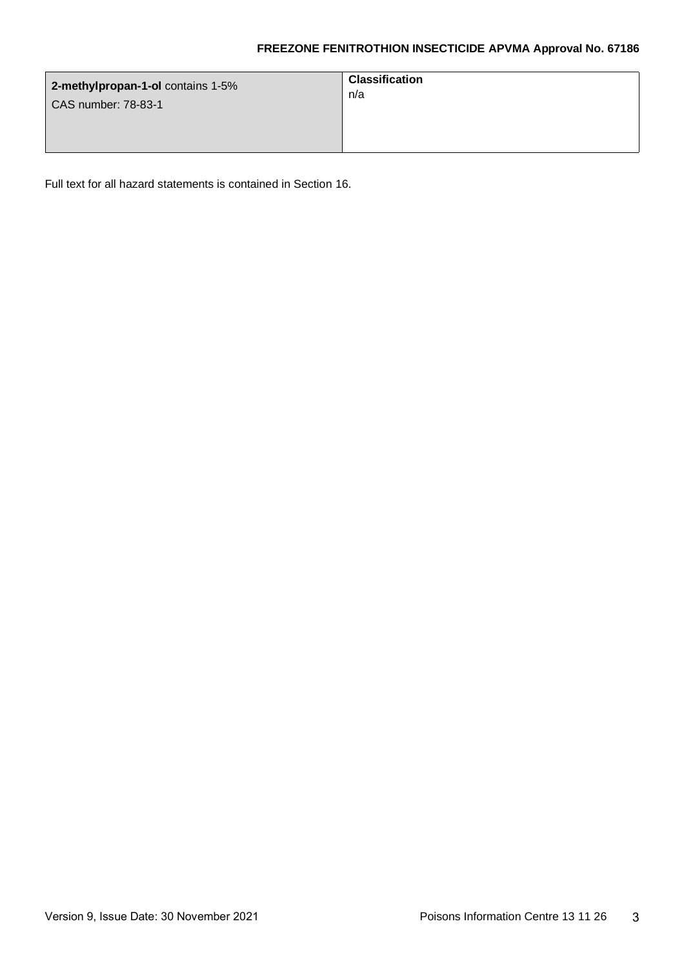| 2-methylpropan-1-ol contains 1-5% | <b>Classification</b> |
|-----------------------------------|-----------------------|
| CAS number: 78-83-1               | n/a                   |

Full text for all hazard statements is contained in Section 16.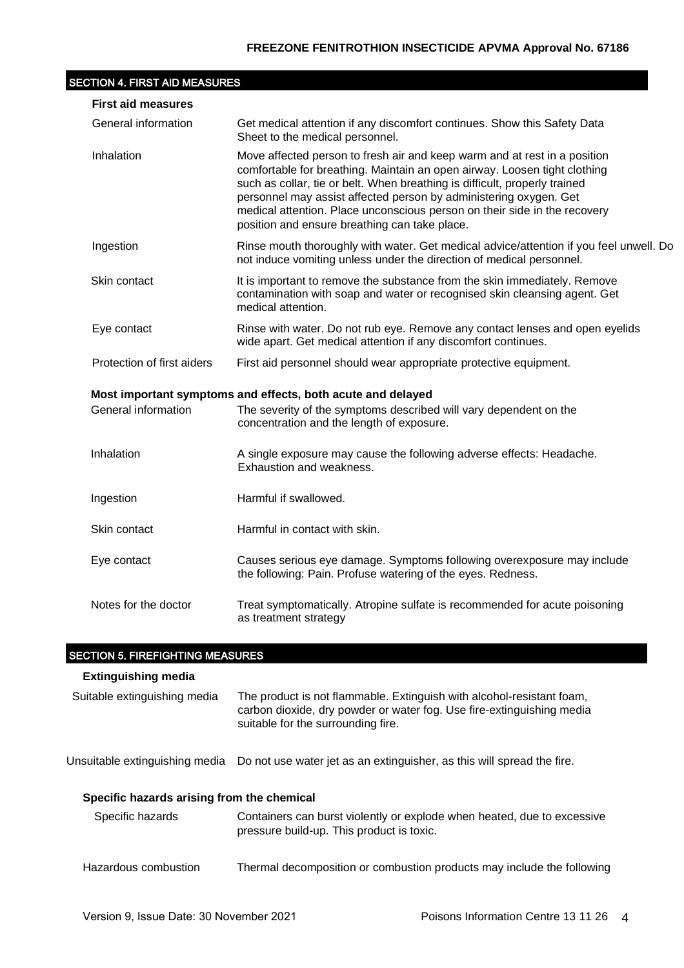### SECTION 4. FIRST AID MEASURES

| <b>First aid measures</b>  |                                                                                                                                                                                                                                                                                                                                                                                                                                         |  |  |
|----------------------------|-----------------------------------------------------------------------------------------------------------------------------------------------------------------------------------------------------------------------------------------------------------------------------------------------------------------------------------------------------------------------------------------------------------------------------------------|--|--|
| General information        | Get medical attention if any discomfort continues. Show this Safety Data<br>Sheet to the medical personnel.                                                                                                                                                                                                                                                                                                                             |  |  |
| Inhalation                 | Move affected person to fresh air and keep warm and at rest in a position<br>comfortable for breathing. Maintain an open airway. Loosen tight clothing<br>such as collar, tie or belt. When breathing is difficult, properly trained<br>personnel may assist affected person by administering oxygen. Get<br>medical attention. Place unconscious person on their side in the recovery<br>position and ensure breathing can take place. |  |  |
| Ingestion                  | Rinse mouth thoroughly with water. Get medical advice/attention if you feel unwell. Do<br>not induce vomiting unless under the direction of medical personnel.                                                                                                                                                                                                                                                                          |  |  |
| Skin contact               | It is important to remove the substance from the skin immediately. Remove<br>contamination with soap and water or recognised skin cleansing agent. Get<br>medical attention.                                                                                                                                                                                                                                                            |  |  |
| Eye contact                | Rinse with water. Do not rub eye. Remove any contact lenses and open eyelids<br>wide apart. Get medical attention if any discomfort continues.                                                                                                                                                                                                                                                                                          |  |  |
| Protection of first aiders | First aid personnel should wear appropriate protective equipment.                                                                                                                                                                                                                                                                                                                                                                       |  |  |
|                            | Most important symptoms and effects, both acute and delayed                                                                                                                                                                                                                                                                                                                                                                             |  |  |
| General information        | The severity of the symptoms described will vary dependent on the<br>concentration and the length of exposure.                                                                                                                                                                                                                                                                                                                          |  |  |
| Inhalation                 | A single exposure may cause the following adverse effects: Headache.<br>Exhaustion and weakness.                                                                                                                                                                                                                                                                                                                                        |  |  |
| Ingestion                  | Harmful if swallowed.                                                                                                                                                                                                                                                                                                                                                                                                                   |  |  |
| Skin contact               | Harmful in contact with skin.                                                                                                                                                                                                                                                                                                                                                                                                           |  |  |
| Eye contact                | Causes serious eye damage. Symptoms following overexposure may include<br>the following: Pain. Profuse watering of the eyes. Redness.                                                                                                                                                                                                                                                                                                   |  |  |
| Notes for the doctor       | Treat symptomatically. Atropine sulfate is recommended for acute poisoning<br>as treatment strategy                                                                                                                                                                                                                                                                                                                                     |  |  |

## SECTION 5. FIREFIGHTING MEASURES

#### **Extinguishing media**

| Suitable extinguishing media | The product is not flammable. Extinguish with alcohol-resistant foam, |
|------------------------------|-----------------------------------------------------------------------|
|                              | carbon dioxide, dry powder or water fog. Use fire-extinguishing media |
|                              | suitable for the surrounding fire.                                    |

Unsuitable extinguishing media Do not use water jet as an extinguisher, as this will spread the fire.

#### **Specific hazards arising from the chemical**

| Specific hazards     | Containers can burst violently or explode when heated, due to excessive<br>pressure build-up. This product is toxic. |
|----------------------|----------------------------------------------------------------------------------------------------------------------|
| Hazardous combustion | Thermal decomposition or combustion products may include the following                                               |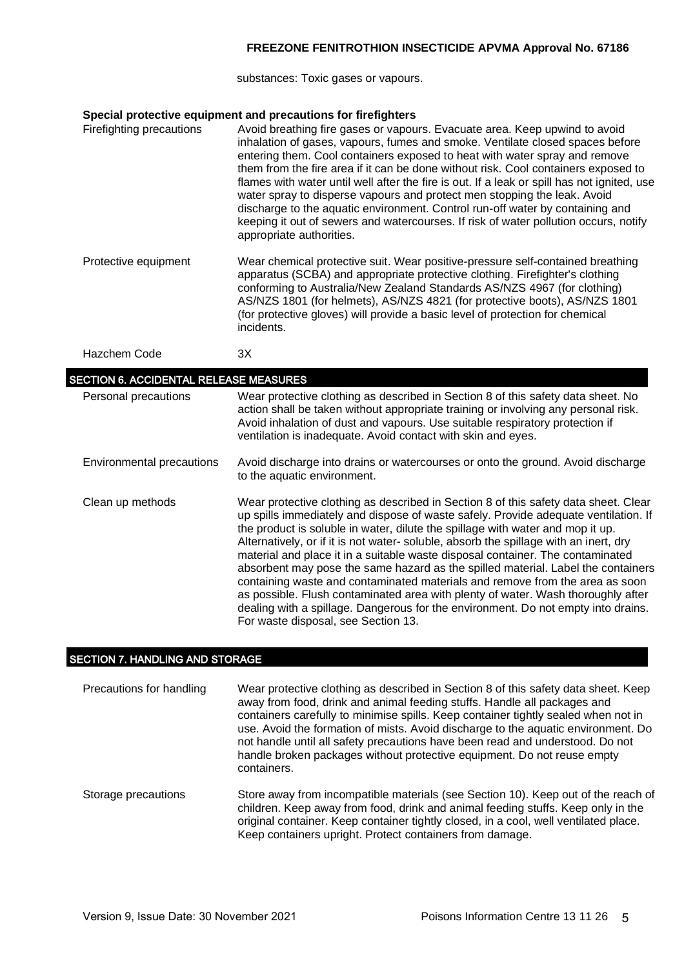substances: Toxic gases or vapours.

### **Special protective equipment and precautions for firefighters**

| Firefighting precautions | Avoid breathing fire gases or vapours. Evacuate area. Keep upwind to avoid<br>inhalation of gases, vapours, fumes and smoke. Ventilate closed spaces before<br>entering them. Cool containers exposed to heat with water spray and remove<br>them from the fire area if it can be done without risk. Cool containers exposed to<br>flames with water until well after the fire is out. If a leak or spill has not ignited, use<br>water spray to disperse vapours and protect men stopping the leak. Avoid<br>discharge to the aquatic environment. Control run-off water by containing and<br>keeping it out of sewers and watercourses. If risk of water pollution occurs, notify<br>appropriate authorities. |
|--------------------------|-----------------------------------------------------------------------------------------------------------------------------------------------------------------------------------------------------------------------------------------------------------------------------------------------------------------------------------------------------------------------------------------------------------------------------------------------------------------------------------------------------------------------------------------------------------------------------------------------------------------------------------------------------------------------------------------------------------------|
| Protective equipment     | Wear chemical protective suit. Wear positive-pressure self-contained breathing<br>apparatus (SCBA) and appropriate protective clothing. Firefighter's clothing<br>conforming to Australia/New Zealand Standards AS/NZS 4967 (for clothing)<br>AS/NZS 1801 (for helmets), AS/NZS 4821 (for protective boots), AS/NZS 1801<br>(for protective gloves) will provide a basic level of protection for chemical<br>incidents.                                                                                                                                                                                                                                                                                         |
| Hazchem Code             | 3X                                                                                                                                                                                                                                                                                                                                                                                                                                                                                                                                                                                                                                                                                                              |

| <b>SECTION 6. ACCIDENTAL RELEASE MEASURES</b> |                                                                                                                                                                                                                                                                                                                                                                                                                                                                                                                                                                                                                                                                                                                                                                                                                            |  |  |
|-----------------------------------------------|----------------------------------------------------------------------------------------------------------------------------------------------------------------------------------------------------------------------------------------------------------------------------------------------------------------------------------------------------------------------------------------------------------------------------------------------------------------------------------------------------------------------------------------------------------------------------------------------------------------------------------------------------------------------------------------------------------------------------------------------------------------------------------------------------------------------------|--|--|
| Personal precautions                          | Wear protective clothing as described in Section 8 of this safety data sheet. No<br>action shall be taken without appropriate training or involving any personal risk.<br>Avoid inhalation of dust and vapours. Use suitable respiratory protection if<br>ventilation is inadequate. Avoid contact with skin and eyes.                                                                                                                                                                                                                                                                                                                                                                                                                                                                                                     |  |  |
| Environmental precautions                     | Avoid discharge into drains or watercourses or onto the ground. Avoid discharge<br>to the aquatic environment.                                                                                                                                                                                                                                                                                                                                                                                                                                                                                                                                                                                                                                                                                                             |  |  |
| Clean up methods                              | Wear protective clothing as described in Section 8 of this safety data sheet. Clear<br>up spills immediately and dispose of waste safely. Provide adequate ventilation. If<br>the product is soluble in water, dilute the spillage with water and mop it up.<br>Alternatively, or if it is not water-soluble, absorb the spillage with an inert, dry<br>material and place it in a suitable waste disposal container. The contaminated<br>absorbent may pose the same hazard as the spilled material. Label the containers<br>containing waste and contaminated materials and remove from the area as soon<br>as possible. Flush contaminated area with plenty of water. Wash thoroughly after<br>dealing with a spillage. Dangerous for the environment. Do not empty into drains.<br>For waste disposal, see Section 13. |  |  |

## SECTION 7. HANDLING AND STORAGE

| Precautions for handling | Wear protective clothing as described in Section 8 of this safety data sheet. Keep<br>away from food, drink and animal feeding stuffs. Handle all packages and<br>containers carefully to minimise spills. Keep container tightly sealed when not in<br>use. Avoid the formation of mists. Avoid discharge to the aquatic environment. Do<br>not handle until all safety precautions have been read and understood. Do not<br>handle broken packages without protective equipment. Do not reuse empty<br>containers. |
|--------------------------|----------------------------------------------------------------------------------------------------------------------------------------------------------------------------------------------------------------------------------------------------------------------------------------------------------------------------------------------------------------------------------------------------------------------------------------------------------------------------------------------------------------------|
| Storage precautions      | Store away from incompatible materials (see Section 10). Keep out of the reach of<br>children. Keep away from food, drink and animal feeding stuffs. Keep only in the<br>original container. Keep container tightly closed, in a cool, well ventilated place.<br>Keep containers upright. Protect containers from damage.                                                                                                                                                                                            |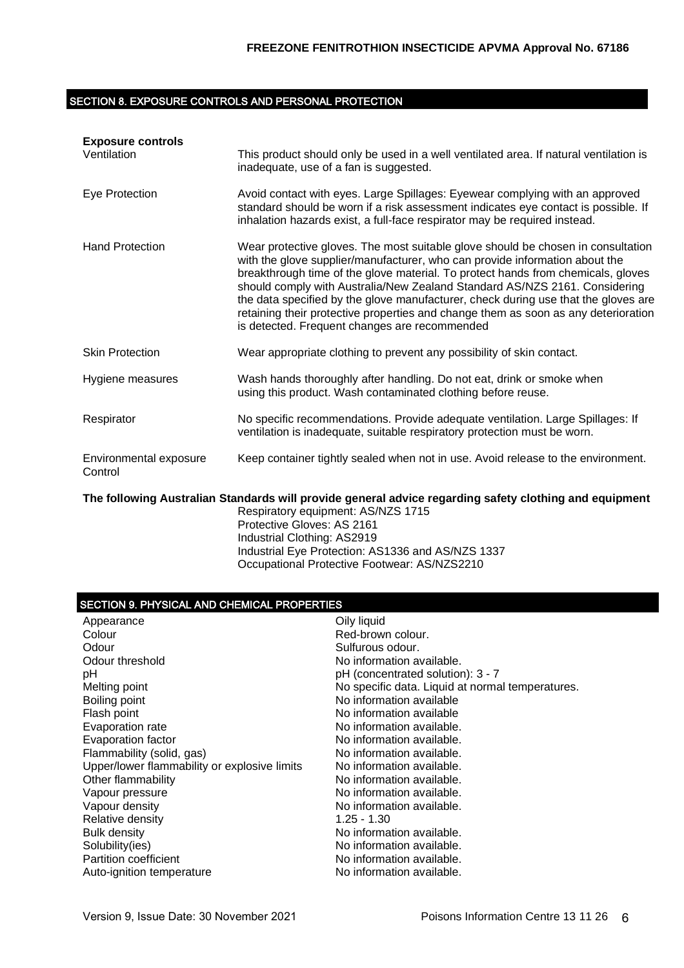### SECTION 8. EXPOSURE CONTROLS AND PERSONAL PROTECTION

| <b>Exposure controls</b><br>Ventilation | This product should only be used in a well ventilated area. If natural ventilation is<br>inadequate, use of a fan is suggested.                                                                                                                                                                                                                                                                                                                                                                                                                                |
|-----------------------------------------|----------------------------------------------------------------------------------------------------------------------------------------------------------------------------------------------------------------------------------------------------------------------------------------------------------------------------------------------------------------------------------------------------------------------------------------------------------------------------------------------------------------------------------------------------------------|
| Eye Protection                          | Avoid contact with eyes. Large Spillages: Eyewear complying with an approved<br>standard should be worn if a risk assessment indicates eye contact is possible. If<br>inhalation hazards exist, a full-face respirator may be required instead.                                                                                                                                                                                                                                                                                                                |
| <b>Hand Protection</b>                  | Wear protective gloves. The most suitable glove should be chosen in consultation<br>with the glove supplier/manufacturer, who can provide information about the<br>breakthrough time of the glove material. To protect hands from chemicals, gloves<br>should comply with Australia/New Zealand Standard AS/NZS 2161. Considering<br>the data specified by the glove manufacturer, check during use that the gloves are<br>retaining their protective properties and change them as soon as any deterioration<br>is detected. Frequent changes are recommended |
| <b>Skin Protection</b>                  | Wear appropriate clothing to prevent any possibility of skin contact.                                                                                                                                                                                                                                                                                                                                                                                                                                                                                          |
| Hygiene measures                        | Wash hands thoroughly after handling. Do not eat, drink or smoke when<br>using this product. Wash contaminated clothing before reuse.                                                                                                                                                                                                                                                                                                                                                                                                                          |
| Respirator                              | No specific recommendations. Provide adequate ventilation. Large Spillages: If<br>ventilation is inadequate, suitable respiratory protection must be worn.                                                                                                                                                                                                                                                                                                                                                                                                     |
| Environmental exposure<br>Control       | Keep container tightly sealed when not in use. Avoid release to the environment.                                                                                                                                                                                                                                                                                                                                                                                                                                                                               |
|                                         | The following Australian Standards will provide general advice regarding safety clothing and equipment                                                                                                                                                                                                                                                                                                                                                                                                                                                         |

Respiratory equipment: AS/NZS 1715 Protective Gloves: AS 2161 Industrial Clothing: AS2919 Industrial Eye Protection: AS1336 and AS/NZS 1337 Occupational Protective Footwear: AS/NZS2210

### SECTION 9. PHYSICAL AND CHEMICAL PROPERTIES

| Appearance                                   | Oily liquid                                      |
|----------------------------------------------|--------------------------------------------------|
| Colour                                       | Red-brown colour.                                |
| Odour                                        | Sulfurous odour.                                 |
| Odour threshold                              | No information available.                        |
| рH                                           | pH (concentrated solution): 3 - 7                |
| Melting point                                | No specific data. Liquid at normal temperatures. |
| Boiling point                                | No information available                         |
| Flash point                                  | No information available                         |
| Evaporation rate                             | No information available.                        |
| Evaporation factor                           | No information available.                        |
| Flammability (solid, gas)                    | No information available.                        |
| Upper/lower flammability or explosive limits | No information available.                        |
| Other flammability                           | No information available.                        |
| Vapour pressure                              | No information available.                        |
| Vapour density                               | No information available.                        |
| Relative density                             | $1.25 - 1.30$                                    |
| Bulk density                                 | No information available.                        |
| Solubility(ies)                              | No information available.                        |
| <b>Partition coefficient</b>                 | No information available.                        |
| Auto-ignition temperature                    | No information available.                        |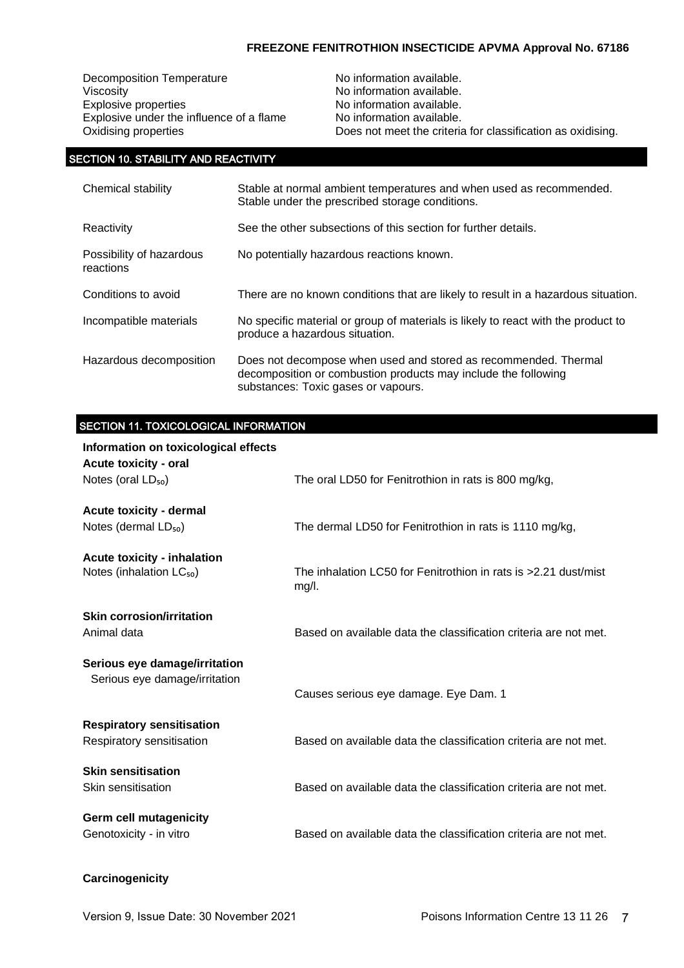Decomposition Temperature Moinformation available.<br>Viscosity Moinformation available. Viscosity<br>
Explosive properties<br>
Explosive properties<br>
No information available. Explosive under the influence of a flame

No information available.<br>No information available. Oxidising properties Does not meet the criteria for classification as oxidising.

### SECTION 10. STABILITY AND REACTIVITY

| Chemical stability                    | Stable at normal ambient temperatures and when used as recommended.<br>Stable under the prescribed storage conditions.                                                   |
|---------------------------------------|--------------------------------------------------------------------------------------------------------------------------------------------------------------------------|
| Reactivity                            | See the other subsections of this section for further details.                                                                                                           |
| Possibility of hazardous<br>reactions | No potentially hazardous reactions known.                                                                                                                                |
| Conditions to avoid                   | There are no known conditions that are likely to result in a hazardous situation.                                                                                        |
| Incompatible materials                | No specific material or group of materials is likely to react with the product to<br>produce a hazardous situation.                                                      |
| Hazardous decomposition               | Does not decompose when used and stored as recommended. Thermal<br>decomposition or combustion products may include the following<br>substances: Toxic gases or vapours. |

## SECTION 11. TOXICOLOGICAL INFORMATION

| Information on toxicological effects<br>Acute toxicity - oral  |                                                                          |
|----------------------------------------------------------------|--------------------------------------------------------------------------|
| Notes (oral LD <sub>50</sub> )                                 | The oral LD50 for Fenitrothion in rats is 800 mg/kg,                     |
| Acute toxicity - dermal<br>Notes (dermal $LD_{50}$ )           | The dermal LD50 for Fenitrothion in rats is 1110 mg/kg,                  |
| <b>Acute toxicity - inhalation</b>                             |                                                                          |
| Notes (inhalation LC <sub>50</sub> )                           | The inhalation LC50 for Fenitrothion in rats is >2.21 dust/mist<br>mg/l. |
| <b>Skin corrosion/irritation</b><br>Animal data                | Based on available data the classification criteria are not met.         |
| Serious eye damage/irritation<br>Serious eye damage/irritation | Causes serious eye damage. Eye Dam. 1                                    |
| <b>Respiratory sensitisation</b><br>Respiratory sensitisation  | Based on available data the classification criteria are not met.         |
| <b>Skin sensitisation</b><br>Skin sensitisation                | Based on available data the classification criteria are not met.         |
| <b>Germ cell mutagenicity</b><br>Genotoxicity - in vitro       | Based on available data the classification criteria are not met.         |

### **Carcinogenicity**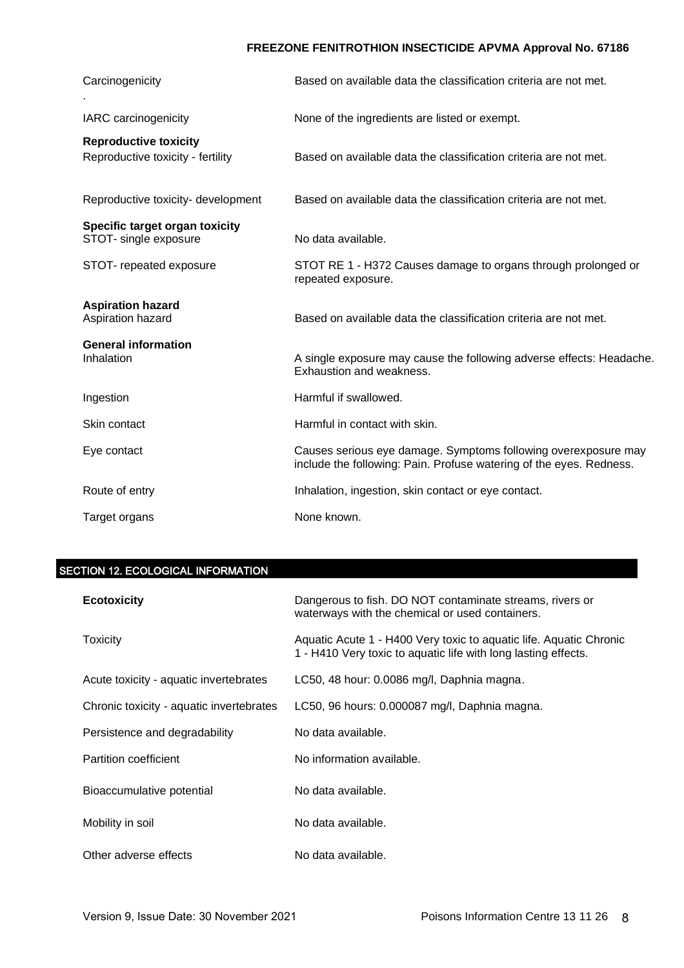| Carcinogenicity                                                   | Based on available data the classification criteria are not met.                                                                      |
|-------------------------------------------------------------------|---------------------------------------------------------------------------------------------------------------------------------------|
| IARC carcinogenicity                                              | None of the ingredients are listed or exempt.                                                                                         |
| <b>Reproductive toxicity</b><br>Reproductive toxicity - fertility | Based on available data the classification criteria are not met.                                                                      |
| Reproductive toxicity- development                                | Based on available data the classification criteria are not met.                                                                      |
| Specific target organ toxicity<br>STOT- single exposure           | No data available.                                                                                                                    |
| STOT- repeated exposure                                           | STOT RE 1 - H372 Causes damage to organs through prolonged or<br>repeated exposure.                                                   |
| <b>Aspiration hazard</b><br>Aspiration hazard                     | Based on available data the classification criteria are not met.                                                                      |
| <b>General information</b><br>Inhalation                          | A single exposure may cause the following adverse effects: Headache.<br>Exhaustion and weakness.                                      |
| Ingestion                                                         | Harmful if swallowed.                                                                                                                 |
| Skin contact                                                      | Harmful in contact with skin.                                                                                                         |
| Eye contact                                                       | Causes serious eye damage. Symptoms following overexposure may<br>include the following: Pain. Profuse watering of the eyes. Redness. |
| Route of entry                                                    | Inhalation, ingestion, skin contact or eye contact.                                                                                   |
| Target organs                                                     | None known.                                                                                                                           |

# SECTION 12. ECOLOGICAL INFORMATION

| <b>Ecotoxicity</b>                       | Dangerous to fish. DO NOT contaminate streams, rivers or<br>waterways with the chemical or used containers.                          |
|------------------------------------------|--------------------------------------------------------------------------------------------------------------------------------------|
| Toxicity                                 | Aquatic Acute 1 - H400 Very toxic to aquatic life. Aquatic Chronic<br>1 - H410 Very toxic to aquatic life with long lasting effects. |
| Acute toxicity - aquatic invertebrates   | LC50, 48 hour: 0.0086 mg/l, Daphnia magna.                                                                                           |
| Chronic toxicity - aquatic invertebrates | LC50, 96 hours: 0.000087 mg/l, Daphnia magna.                                                                                        |
| Persistence and degradability            | No data available.                                                                                                                   |
| Partition coefficient                    | No information available.                                                                                                            |
| Bioaccumulative potential                | No data available.                                                                                                                   |
| Mobility in soil                         | No data available.                                                                                                                   |
| Other adverse effects                    | No data available.                                                                                                                   |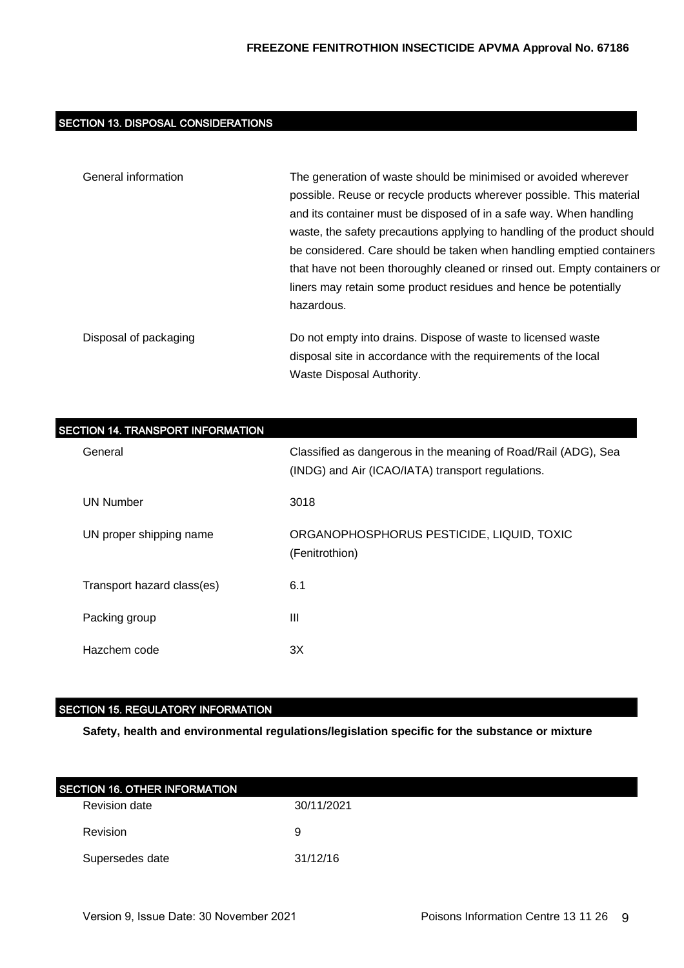## SECTION 13. DISPOSAL CONSIDERATIONS

| General information   | The generation of waste should be minimised or avoided wherever          |  |
|-----------------------|--------------------------------------------------------------------------|--|
|                       | possible. Reuse or recycle products wherever possible. This material     |  |
|                       | and its container must be disposed of in a safe way. When handling       |  |
|                       | waste, the safety precautions applying to handling of the product should |  |
|                       | be considered. Care should be taken when handling emptied containers     |  |
|                       | that have not been thoroughly cleaned or rinsed out. Empty containers or |  |
|                       | liners may retain some product residues and hence be potentially         |  |
|                       | hazardous.                                                               |  |
| Disposal of packaging | Do not empty into drains. Dispose of waste to licensed waste             |  |
|                       | disposal site in accordance with the requirements of the local           |  |
|                       | Waste Disposal Authority.                                                |  |

| <b>SECTION 14. TRANSPORT INFORMATION</b> |                                                                                                                     |
|------------------------------------------|---------------------------------------------------------------------------------------------------------------------|
| General                                  | Classified as dangerous in the meaning of Road/Rail (ADG), Sea<br>(INDG) and Air (ICAO/IATA) transport regulations. |
| UN Number                                | 3018                                                                                                                |
| UN proper shipping name                  | ORGANOPHOSPHORUS PESTICIDE, LIQUID, TOXIC<br>(Fenitrothion)                                                         |
| Transport hazard class(es)               | 6.1                                                                                                                 |
| Packing group                            | Ш                                                                                                                   |
| Hazchem code                             | 3X                                                                                                                  |

## SECTION 15. REGULATORY INFORMATION

**Safety, health and environmental regulations/legislation specific for the substance or mixture**

| <b>SECTION 16. OTHER INFORMATION</b> |            |  |
|--------------------------------------|------------|--|
| Revision date                        | 30/11/2021 |  |
| <b>Revision</b>                      | 9          |  |
| Supersedes date                      | 31/12/16   |  |